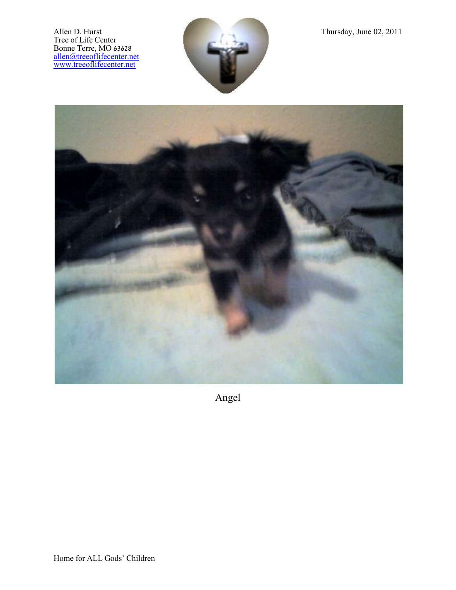Tree of Life Center Bonne Terre, MO 63628 [allen@treeoflifecenter.net](mailto:allen@treeoflifecenter.net) [www.treeoflifecenter.net](http://www.treeoflifecenter.net/)





Angel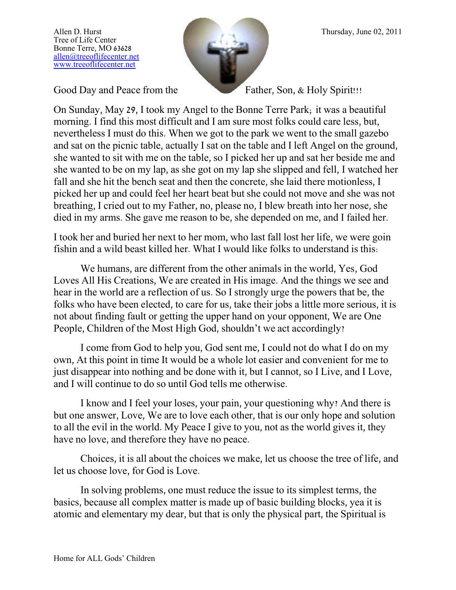Tree of Life Center Bonne Terre, MO 63628 [allen@treeoflifecenter.net](mailto:allen@treeoflifecenter.net) [www.treeoflifecenter.net](http://www.treeoflifecenter.net/)

![](_page_1_Picture_2.jpeg)

Good Day and Peace from the Father, Son, & Holy Spirit!!!

On Sunday, May 29, I took my Angel to the Bonne Terre Park; it was a beautiful morning. I find this most difficult and I am sure most folks could care less, but, nevertheless I must do this. When we got to the park we went to the small gazebo and sat on the picnic table, actually I sat on the table and I left Angel on the ground, she wanted to sit with me on the table, so I picked her up and sat her beside me and she wanted to be on my lap, as she got on my lap she slipped and fell, I watched her fall and she hit the bench seat and then the concrete, she laid there motionless, I picked her up and could feel her heart beat but she could not move and she was not breathing, I cried out to my Father, no, please no, I blew breath into her nose, she died in my arms. She gave me reason to be, she depended on me, and I failed her.

I took her and buried her next to her mom, who last fall lost her life, we were goin fishin and a wild beast killed her. What I would like folks to understand is this:

We humans, are different from the other animals in the world, Yes, God Loves All His Creations, We are created in His image. And the things we see and hear in the world are a reflection of us. So I strongly urge the powers that be, the folks who have been elected, to care for us, take their jobs a little more serious, it is not about finding fault or getting the upper hand on your opponent, We are One People, Children of the Most High God, shouldn't we act accordingly?

I come from God to help you, God sent me, I could not do what I do on my own, At this point in time It would be a whole lot easier and convenient for me to just disappear into nothing and be done with it, but I cannot, so I Live, and I Love, and I will continue to do so until God tells me otherwise.

I know and I feel your loses, your pain, your questioning why? And there is but one answer, Love, We are to love each other, that is our only hope and solution to all the evil in the world. My Peace I give to you, not as the world gives it, they have no love, and therefore they have no peace.

Choices, it is all about the choices we make, let us choose the tree of life, and let us choose love, for God is Love.

In solving problems, one must reduce the issue to its simplest terms, the basics, because all complex matter is made up of basic building blocks, yea it is atomic and elementary my dear, but that is only the physical part, the Spiritual is